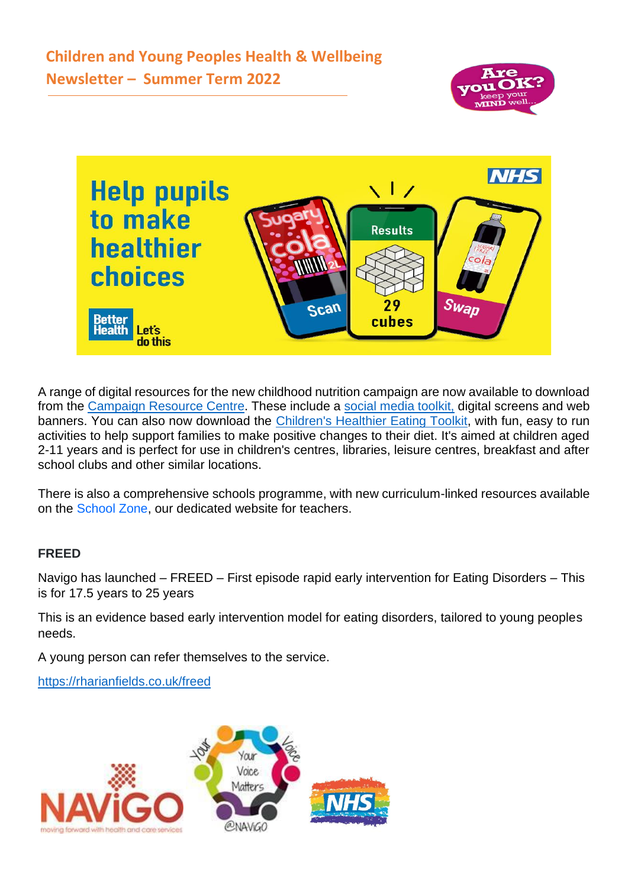



A range of digital resources for the new childhood nutrition campaign are now available to download from the [Campaign Resource Centre.](https://eur03.safelinks.protection.outlook.com/?url=http%3A%2F%2Flinks.e.phepartnerships.co.uk%2Fels%2Fv2%2FWaDwhR~gavTW%2FZXdSd2QwTVhOWk53YmRzRFVDSDVmelgvQmYwY2RucUpXZFYwdFBJUkIweVJTL2VqU0c1YjZTQldmMS9CZkdvTktmM0podUx6SVIxYjRzOHluTmZKS2tXS1p6UWhyQ1prNTZ0eXlYUVprVlk9S0%2F&data=04%7C01%7CJessica.Pearce%40dhsc.gov.uk%7C5623597df5c14dacc14b08d9c5638c9a%7C61278c3091a84c318c1fef4de8973a1c%7C1%7C0%7C637757853607109016%7CUnknown%7CTWFpbGZsb3d8eyJWIjoiMC4wLjAwMDAiLCJQIjoiV2luMzIiLCJBTiI6Ik1haWwiLCJXVCI6Mn0%3D%7C3000&sdata=Ge%2B5tdEfFf2%2F%2B7SUVsXeRLc2eQewLgMkzpWX7wSjFoo%3D&reserved=0) These include a [social media toolkit,](https://eur03.safelinks.protection.outlook.com/?url=http%3A%2F%2Flinks.e.phepartnerships.co.uk%2Fels%2Fv2%2FYYNZC~90bVH8%2FZXdSd2QwTVhOWk53YmRzRFVDSDVmelgvQmYwY2RucUpXZFYwdFBJUkIweVJTL2VqU0c1YjZTQldmMS9CZkdvTktmM0podUx6SVIxYjRzOHluTmZKS2tXS1p6UWhyQ1prNTZ0eXlYUVprVlk9S0%2F&data=04%7C01%7CJessica.Pearce%40dhsc.gov.uk%7C5623597df5c14dacc14b08d9c5638c9a%7C61278c3091a84c318c1fef4de8973a1c%7C1%7C0%7C637757853607109016%7CUnknown%7CTWFpbGZsb3d8eyJWIjoiMC4wLjAwMDAiLCJQIjoiV2luMzIiLCJBTiI6Ik1haWwiLCJXVCI6Mn0%3D%7C3000&sdata=mH%2BURemopaYQwYZnl10RVuls0IwkImhjdl0V%2BxUPMCk%3D&reserved=0) digital screens and web banners. You can also now download the [Children's Healthier Eating Toolkit,](https://eur03.safelinks.protection.outlook.com/?url=http%3A%2F%2Flinks.e.phepartnerships.co.uk%2Fels%2Fv2%2FEZgRFEzpG_sp%2FZXdSd2QwTVhOWk53YmRzRFVDSDVmelgvQmYwY2RucUpXZFYwdFBJUkIweVJTL2VqU0c1YjZTQldmMS9CZkdvTktmM0podUx6SVIxYjRzOHluTmZKS2tXS1p6UWhyQ1prNTZ0eXlYUVprVlk9S0%2F&data=04%7C01%7CJessica.Pearce%40dhsc.gov.uk%7C5623597df5c14dacc14b08d9c5638c9a%7C61278c3091a84c318c1fef4de8973a1c%7C1%7C0%7C637757853607109016%7CUnknown%7CTWFpbGZsb3d8eyJWIjoiMC4wLjAwMDAiLCJQIjoiV2luMzIiLCJBTiI6Ik1haWwiLCJXVCI6Mn0%3D%7C3000&sdata=m3NZ8ZXhThFSaFdH7T3384%2FlAzKaj2w0%2FkiPtuwPaqg%3D&reserved=0) with fun, easy to run activities to help support families to make positive changes to their diet. It's aimed at children aged 2-11 years and is perfect for use in children's centres, libraries, leisure centres, breakfast and after school clubs and other similar locations.

There is also a comprehensive schools programme, with new curriculum-linked resources available on the [School Zone,](http://links.e.phepartnerships.co.uk/els/v2/Zzk0FNkgD9Tm/Ykc0Rk4xRytJbUFZQmZCc3Z5TDA3VTlGQ0k1bE0wV0dwWE5QcVJLcWV4Y2tLOU4ra0N0ejZDSExRZEZ0Y3MrcGpMOWJsaUJVYnZsMGRKNW5iSk9PN3VaQ3BrNFFBL2xFcWs1OEZ6Q2hLbzQ9S0/) our dedicated website for teachers.

#### **FREED**

Navigo has launched – FREED – First episode rapid early intervention for Eating Disorders – This is for 17.5 years to 25 years

This is an evidence based early intervention model for eating disorders, tailored to young peoples needs.

A young person can refer themselves to the service.

<https://rharianfields.co.uk/freed>

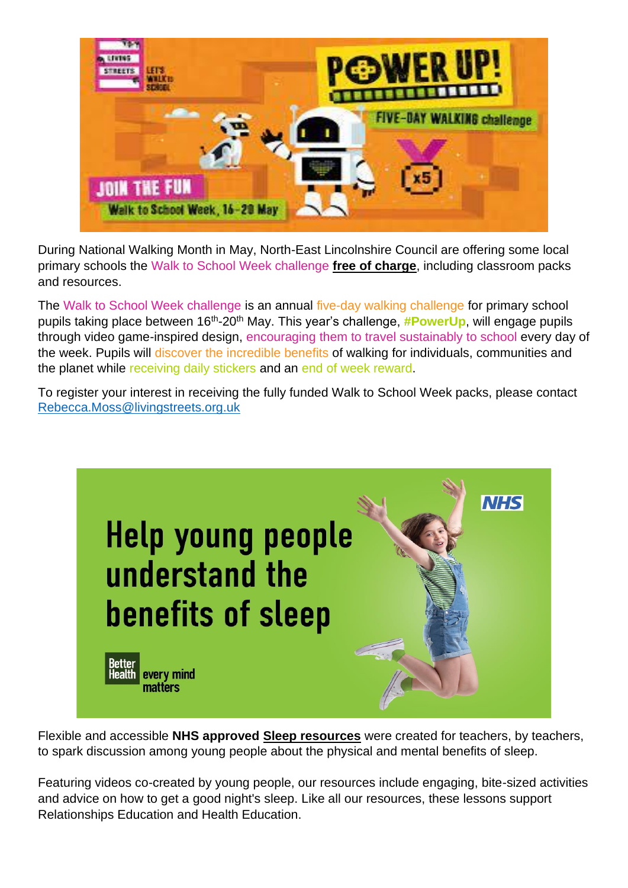

During National Walking Month in May, North-East Lincolnshire Council are offering some local primary schools the Walk to School Week challenge **free of charge**, including classroom packs and resources.

The Walk to School Week challenge is an annual five-day walking challenge for primary school pupils taking place between 16<sup>th</sup>-20<sup>th</sup> May. This year's challenge, *#PowerUp*, will engage pupils through video game-inspired design, encouraging them to travel sustainably to school every day of the week. Pupils will discover the incredible benefits of walking for individuals, communities and the planet while receiving daily stickers and an end of week reward.

To register your interest in receiving the fully funded Walk to School Week packs, please contact [Rebecca.Moss@livingstreets.org.uk](mailto:Rebecca.Moss@livingstreets.org.uk)



Flexible and accessible **NHS approved [Sleep resources](http://links.e.phepartnerships.co.uk/els/v2/~N7YBgE4_ZCK/bEdyZ3NDOXg1bG5WN1piZDVkZkZBV2VxMzhIQ25ZM2tIajY5b1hvSFI3VEUyTzBxRDd3cmRuRFlvYUNnSkFkUmxqQTl5d0N2NjMyWTRJeWdNQWw0KzRKek1vbTNsNE5CNE9xOHZ5RWJ0MDg9S0/)** were created for teachers, by teachers, to spark discussion among young people about the physical and mental benefits of sleep.

Featuring videos co-created by young people, our resources include engaging, bite-sized activities and advice on how to get a good night's sleep. Like all our resources, these lessons support Relationships Education and Health Education.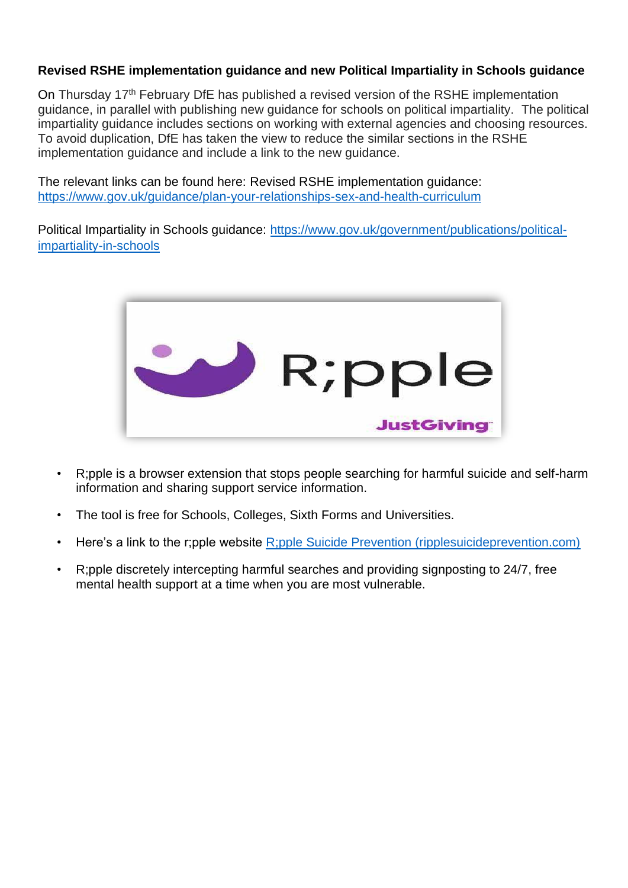## **Revised RSHE implementation guidance and new Political Impartiality in Schools guidance**

On Thursday 17<sup>th</sup> February DfE has published a revised version of the RSHE implementation guidance, in parallel with publishing new guidance for schools on political impartiality. The political impartiality guidance includes sections on working with external agencies and choosing resources. To avoid duplication, DfE has taken the view to reduce the similar sections in the RSHE implementation guidance and include a link to the new guidance.

The relevant links can be found here: Revised RSHE implementation guidance: [https://www.gov.uk/guidance/plan-your-relationships-sex-and-health-curriculum](https://eur03.safelinks.protection.outlook.com/?url=https%3A%2F%2Fwww.gov.uk%2Fguidance%2Fplan-your-relationships-sex-and-health-curriculum&data=04%7C01%7CJessica.Pearce%40dhsc.gov.uk%7Cb3bdef708ad84d6471a708d9f22cf7b7%7C61278c3091a84c318c1fef4de8973a1c%7C1%7C0%7C637807097202821341%7CUnknown%7CTWFpbGZsb3d8eyJWIjoiMC4wLjAwMDAiLCJQIjoiV2luMzIiLCJBTiI6Ik1haWwiLCJXVCI6Mn0%3D%7C3000&sdata=a1NYZoyCp%2FsoWN8kEazmy2MbISm28vBcWfav6X3dyAY%3D&reserved=0)

Political Impartiality in Schools guidance: [https://www.gov.uk/government/publications/political](https://eur03.safelinks.protection.outlook.com/?url=https%3A%2F%2Fwww.gov.uk%2Fgovernment%2Fpublications%2Fpolitical-impartiality-in-schools&data=04%7C01%7CJessica.Pearce%40dhsc.gov.uk%7Cb3bdef708ad84d6471a708d9f22cf7b7%7C61278c3091a84c318c1fef4de8973a1c%7C1%7C0%7C637807097202821341%7CUnknown%7CTWFpbGZsb3d8eyJWIjoiMC4wLjAwMDAiLCJQIjoiV2luMzIiLCJBTiI6Ik1haWwiLCJXVCI6Mn0%3D%7C3000&sdata=WE9W17XWIxfCeP35hgsqv0slKTyo3OZtPtDJDI%2B43PA%3D&reserved=0)[impartiality-in-schools](https://eur03.safelinks.protection.outlook.com/?url=https%3A%2F%2Fwww.gov.uk%2Fgovernment%2Fpublications%2Fpolitical-impartiality-in-schools&data=04%7C01%7CJessica.Pearce%40dhsc.gov.uk%7Cb3bdef708ad84d6471a708d9f22cf7b7%7C61278c3091a84c318c1fef4de8973a1c%7C1%7C0%7C637807097202821341%7CUnknown%7CTWFpbGZsb3d8eyJWIjoiMC4wLjAwMDAiLCJQIjoiV2luMzIiLCJBTiI6Ik1haWwiLCJXVCI6Mn0%3D%7C3000&sdata=WE9W17XWIxfCeP35hgsqv0slKTyo3OZtPtDJDI%2B43PA%3D&reserved=0)



- R;pple is a browser extension that stops people searching for harmful suicide and self-harm information and sharing support service information.
- The tool is free for Schools, Colleges, Sixth Forms and Universities.
- Here's a link to the r;pple website [R;pple](https://www.ripplesuicideprevention.com/) [Suicide Prevention \(ripplesuicideprevention.com\)](https://www.ripplesuicideprevention.com/)
- R;pple discretely intercepting harmful searches and providing signposting to 24/7, free mental health support at a time when you are most vulnerable.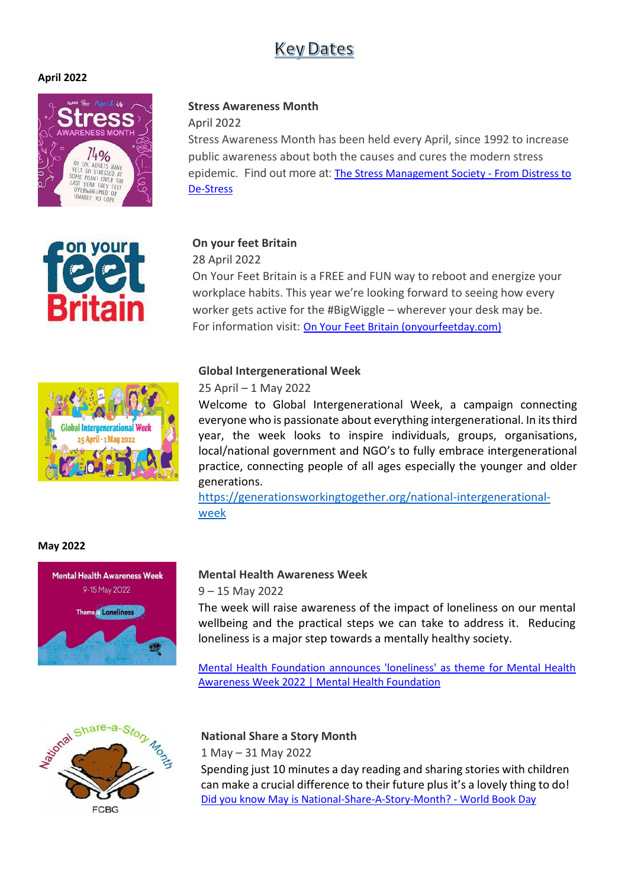## **Key Dates**

#### **April 2022**







April 2022

Stress Awareness Month has been held every April, since 1992 to increase public awareness about both the causes and cures the modern stress epidemic. Find out more at: [The Stress Management Society -](https://www.stress.org.uk/) From Distress to [De-Stress](https://www.stress.org.uk/)

#### **On your feet Britain**

28 April 2022

On Your Feet Britain is a FREE and FUN way to reboot and energize your workplace habits. This year we're looking forward to seeing how every worker gets active for the #BigWiggle – wherever your desk may be. For information visit: [On Your Feet Britain \(onyourfeetday.com\)](https://onyourfeetday.com/)

#### **Global Intergenerational Week**

#### 25 April – 1 May 2022

Welcome to Global Intergenerational Week, a campaign connecting everyone who is passionate about everything intergenerational. In its third year, the week looks to inspire individuals, groups, organisations, local/national government and NGO's to fully embrace intergenerational practice, connecting people of all ages especially the younger and older generations.

[https://generationsworkingtogether.org/national-intergenerational](https://generationsworkingtogether.org/national-intergenerational-week)[week](https://generationsworkingtogether.org/national-intergenerational-week)





**Intergenerational** 

## **Mental Health Awareness Week**

9 – 15 May 2022

The week will raise awareness of the impact of loneliness on our mental wellbeing and the practical steps we can take to address it. Reducing loneliness is a major step towards a mentally healthy society.

[Mental Health Foundation announces 'loneliness' as theme for Mental Health](https://www.mentalhealth.org.uk/news/mental-health-foundation-announces-loneliness-theme-mental-health-awareness-week-2022)  [Awareness Week 2022 | Mental Health Foundation](https://www.mentalhealth.org.uk/news/mental-health-foundation-announces-loneliness-theme-mental-health-awareness-week-2022)



## **National Share a Story Month**

1 May – 31 May 2022

Spending just 10 minutes a day reading and sharing stories with children can make a crucial difference to their future plus it's a lovely thing to do! [Did you know May is National-Share-A-Story-Month? -](https://www.worldbookday.com/2020/05/did-you-know-may-is-national-share-a-story-month/) World Book Day

## **May 2022**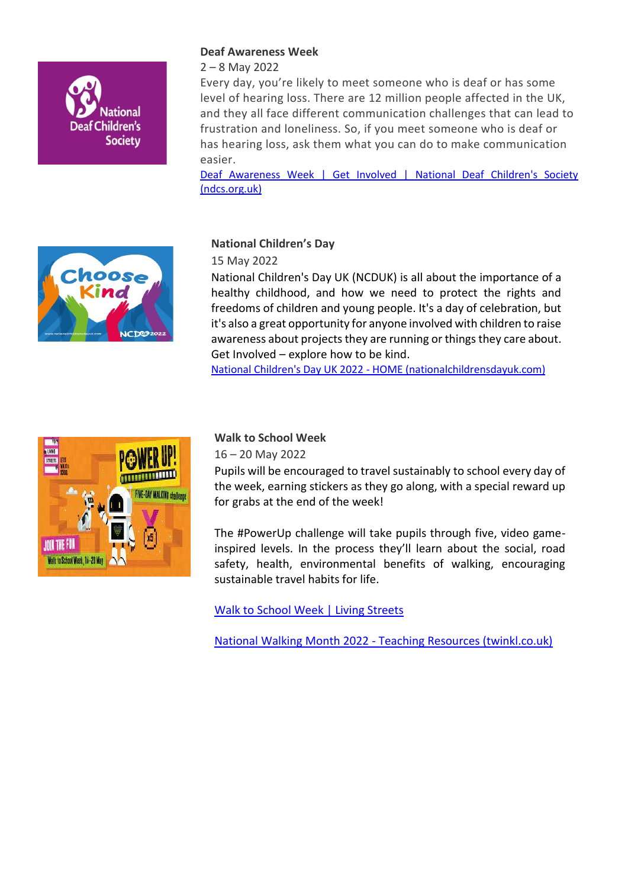

### **Deaf Awareness Week**

2 – 8 May 2022

Every day, you're likely to meet someone who is deaf or has some level of hearing loss. There are 12 million people affected in the UK, and they all face different communication challenges that can lead to frustration and loneliness. So, if you meet someone who is deaf or has hearing loss, ask them what you can do to make communication easier.

Deaf Awareness Week | Get Involved | National Deaf Children's Society [\(ndcs.org.uk\)](https://www.ndcs.org.uk/deaf-awareness-week/#:~:text=The%20next%20Deaf%20Awareness%20Week,2%20to%208%20May%202022.)



## **National Children's Day**

15 May 2022

National Children's Day UK (NCDUK) is all about the importance of a healthy childhood, and how we need to protect the rights and freedoms of children and young people. It's a day of celebration, but it's also a great opportunity for anyone involved with children to raise awareness about projects they are running or things they care about. Get Involved – explore how to be kind.

National Children's Day UK 2022 - [HOME \(nationalchildrensdayuk.com\)](https://www.nationalchildrensdayuk.com/)



### **Walk to School Week**

16 – 20 May 2022

Pupils will be encouraged to travel sustainably to school every day of the week, earning stickers as they go along, with a special reward up for grabs at the end of the week!

The #PowerUp challenge will take pupils through five, video gameinspired levels. In the process they'll learn about the social, road safety, health, environmental benefits of walking, encouraging sustainable travel habits for life.

[Walk to School Week | Living Streets](https://www.livingstreets.org.uk/products-and-services/projects/walk-to-school-week?campaign=wtsw&source=adwords&gclid=EAIaIQobChMI9d3cwsGB9wIVAuvtCh0QxgvkEAAYASAAEgK4t_D_BwE)

National Walking Month 2022 - [Teaching Resources \(twinkl.co.uk\)](https://www.twinkl.co.uk/event/national-walking-month-scotland-2022#:~:text=May%201%2C%202022%20%2D%20May%2031%2C%202022&text=Walk%20to%20School%20or%20Work,or%20elevator%2C%20take%20the%20stairs.)